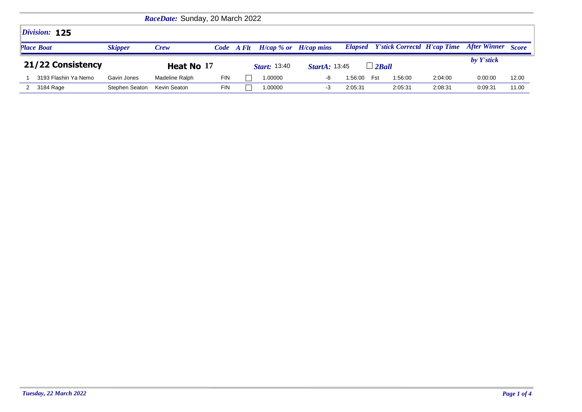| RaceDate: Sunday, 20 March 2022 |                |                |            |       |                           |                      |         |                                            |         |              |              |
|---------------------------------|----------------|----------------|------------|-------|---------------------------|----------------------|---------|--------------------------------------------|---------|--------------|--------------|
| Division: 125                   |                |                |            |       |                           |                      |         |                                            |         |              |              |
| <b>Place Boat</b>               | <b>Skipper</b> | <b>Crew</b>    | Code       | A Flt | $H/cap$ % or $H/cap$ mins |                      |         | <b>Elapsed</b> Y'stick Correctd H'cap Time |         | After Winner | <b>Score</b> |
| 21/22 Consistency               |                | Heat No 17     |            |       | <b>Start:</b> 13:40       | <b>StartA: 13:45</b> |         | $\Box$ 2Ball                               |         | by Y'stick   |              |
| 3193 Flashin Ya Nemo            | Gavin Jones    | Madeline Ralph | <b>FIN</b> |       | 1.00000                   | -8                   | 1:56:00 | 1:56:00<br>Fst                             | 2:04:00 | 0:00:00      | 12.00        |
| 3184 Rage                       | Stephen Seaton | Kevin Seaton   | <b>FIN</b> |       | 1.00000                   | -3                   | 2:05:31 | 2:05:31                                    | 2:08:31 | 0:09:31      | 11.00        |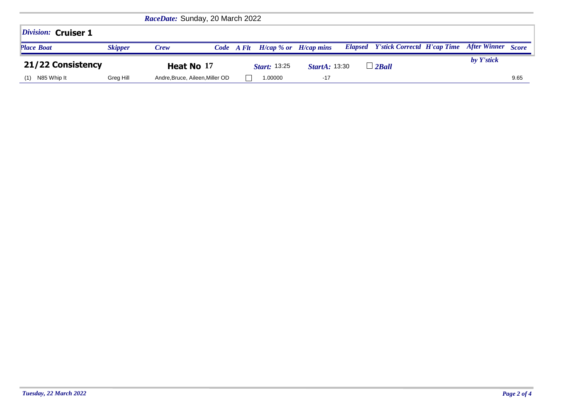| <i>Division:</i> Cruiser 1 |                |                                 |            |                           |                      |                                                               |            |      |
|----------------------------|----------------|---------------------------------|------------|---------------------------|----------------------|---------------------------------------------------------------|------------|------|
| <b>Place Boat</b>          | <b>Skipper</b> | Crew                            | Code A Flt | $H/cap$ % or $H/cap$ mins |                      | <b>Elapsed</b> Y'stick Correctd H'cap Time After Winner Score |            |      |
| 21/22 Consistency          |                | Heat No 17                      |            | <b>Start: 13:25</b>       | <b>StartA: 13:30</b> | $\perp$ 2Ball                                                 | by Y'stick |      |
| N85 Whip It<br>(1)         | Greg Hill      | Andre, Bruce, Aileen, Miller OD |            | 1.00000                   | $-17$                |                                                               |            | 9.65 |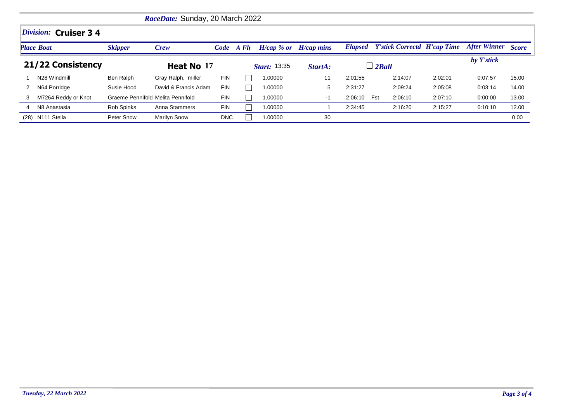|                   | RaceDate: Sunday, 20 March 2022 |                                   |                      |            |            |                           |         |                |                                    |         |                     |              |  |
|-------------------|---------------------------------|-----------------------------------|----------------------|------------|------------|---------------------------|---------|----------------|------------------------------------|---------|---------------------|--------------|--|
|                   | <i>Division:</i> Cruiser $34$   |                                   |                      |            |            |                           |         |                |                                    |         |                     |              |  |
|                   | <b>Place Boat</b>               | <b>Skipper</b>                    | Crew                 |            | Code A Flt | $H/cap$ % or $H/cap$ mins |         | <b>Elapsed</b> | <b>Y'stick Correctd H'cap Time</b> |         | <b>After Winner</b> | <b>Score</b> |  |
| 21/22 Consistency |                                 |                                   | Heat No 17           |            |            | <b>Start: 13:35</b>       | StartA: | $\Box$ 2Ball   |                                    |         | by Y'stick          |              |  |
|                   | N28 Windmill                    | Ben Ralph                         | Gray Ralph, miller   | <b>FIN</b> |            | 1.00000                   | 11      | 2:01:55        | 2:14:07                            | 2:02:01 | 0:07:57             | 15.00        |  |
|                   | N64 Porridge                    | Susie Hood                        | David & Francis Adam | <b>FIN</b> |            | 00000.                    | 5       | 2:31:27        | 2:09:24                            | 2:05:08 | 0:03:14             | 14.00        |  |
| 3                 | M7264 Reddy or Knot             | Graeme Pennifold Melita Pennifold |                      | <b>FIN</b> |            | 00000                     | $-1$    | 2:06:10        | 2:06:10<br>Fst                     | 2:07:10 | 0:00:00             | 13.00        |  |
| 4                 | N8 Anastasia                    | Rob Spinks                        | Anna Stammers        | <b>FIN</b> |            | 1.00000                   |         | 2:34:45        | 2:16:20                            | 2:15:27 | 0:10:10             | 12.00        |  |
|                   | (28) N111 Stella                | Peter Snow                        | <b>Marilyn Snow</b>  | <b>DNC</b> |            | 1.00000                   | 30      |                |                                    |         |                     | 0.00         |  |